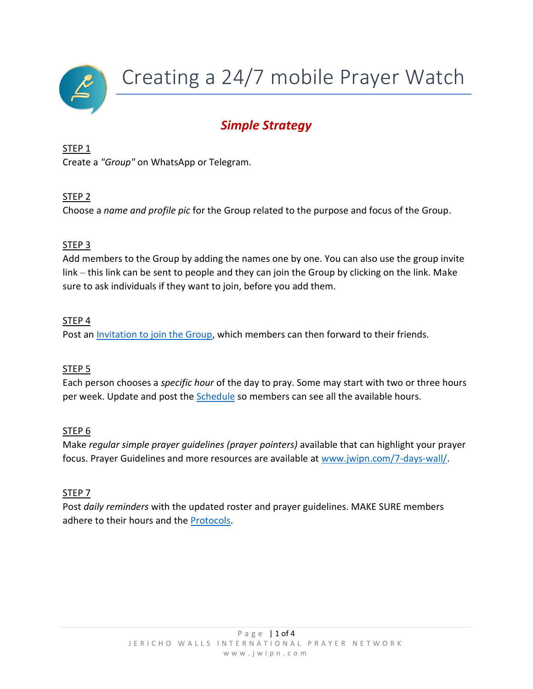

Creating a 24/7 mobile Prayer Watch

# *Simple Strategy*

#### STEP 1

Create a *"Group"* on WhatsApp or Telegram.

### STEP 2

Choose a *name and profile pic* for the Group related to the purpose and focus of the Group.

### STEP 3

Add members to the Group by adding the names one by one. You can also use the group invite link – this link can be sent to people and they can join the Group by clicking on the link. Make sure to ask individuals if they want to join, before you add them.

#### STEP 4

Post a[n Invitation to join the Group,](#page-1-0) which members can then forward to their friends.

#### STEP 5

Each person chooses a *specific hour* of the day to pray. Some may start with two or three hours per week. Update and post the **Schedule** so members can see all the available hours.

#### STEP 6

Make *regular simple prayer guidelines (prayer pointers)* available that can highlight your prayer focus. Prayer Guidelines and more resources are available at [www.jwipn.com/7-days-wall/.](file:///C:/Users/Linda%20Bosman/Google%20Drive/Jericho%20Walls%202021%20previous/Websites/JW%20NEW%20Web/Special%20Initiatives/7%20Days%20on%20the%20Wall/7%20Days%20on%20the%20Wall%20Page%202020/www.jwipn.com/7-days-wall/)

#### STEP 7

Post *daily reminders* with the updated roster and prayer guidelines. MAKE SURE members adhere to their hours and the [Protocols.](#page-3-0)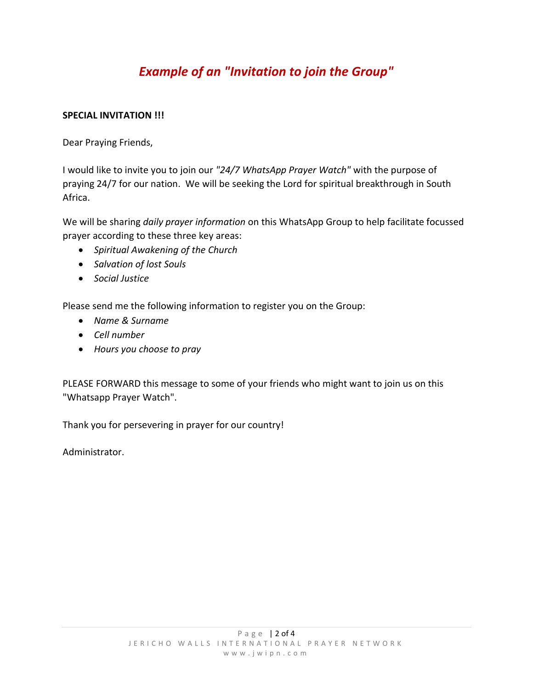## <span id="page-1-0"></span>*Example of an "Invitation to join the Group"*

#### **SPECIAL INVITATION !!!**

Dear Praying Friends,

I would like to invite you to join our *"24/7 WhatsApp Prayer Watch"* with the purpose of praying 24/7 for our nation. We will be seeking the Lord for spiritual breakthrough in South Africa.

We will be sharing *daily prayer information* on this WhatsApp Group to help facilitate focussed prayer according to these three key areas:

- *Spiritual Awakening of the Church*
- *Salvation of lost Souls*
- *Social Justice*

Please send me the following information to register you on the Group:

- *Name & Surname*
- *Cell number*
- *Hours you choose to pray*

PLEASE FORWARD this message to some of your friends who might want to join us on this "Whatsapp Prayer Watch".

Thank you for persevering in prayer for our country!

Administrator.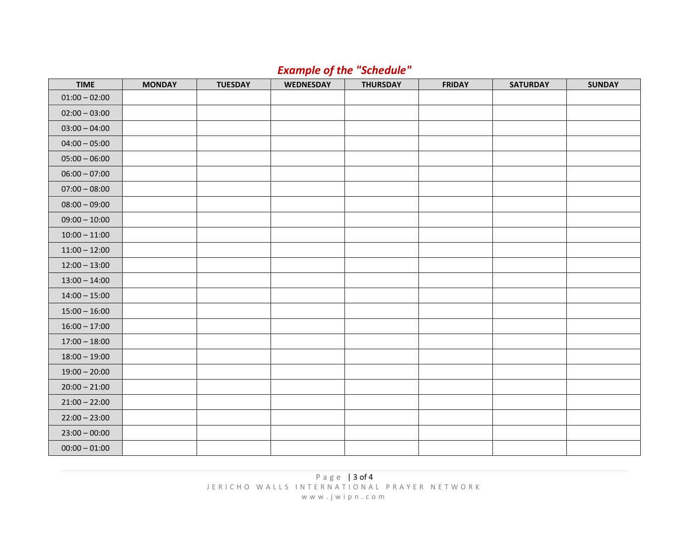## *Example of the "Schedule"*

<span id="page-2-0"></span>

| <b>TIME</b>     | <b>MONDAY</b> | <b>TUESDAY</b> | <b>WEDNESDAY</b> | <b>THURSDAY</b> | <b>FRIDAY</b> | <b>SATURDAY</b> | <b>SUNDAY</b> |
|-----------------|---------------|----------------|------------------|-----------------|---------------|-----------------|---------------|
| $01:00 - 02:00$ |               |                |                  |                 |               |                 |               |
| $02:00 - 03:00$ |               |                |                  |                 |               |                 |               |
| $03:00 - 04:00$ |               |                |                  |                 |               |                 |               |
| $04:00 - 05:00$ |               |                |                  |                 |               |                 |               |
| $05:00 - 06:00$ |               |                |                  |                 |               |                 |               |
| $06:00 - 07:00$ |               |                |                  |                 |               |                 |               |
| $07:00 - 08:00$ |               |                |                  |                 |               |                 |               |
| $08:00 - 09:00$ |               |                |                  |                 |               |                 |               |
| $09:00 - 10:00$ |               |                |                  |                 |               |                 |               |
| $10:00 - 11:00$ |               |                |                  |                 |               |                 |               |
| $11:00 - 12:00$ |               |                |                  |                 |               |                 |               |
| $12:00 - 13:00$ |               |                |                  |                 |               |                 |               |
| $13:00 - 14:00$ |               |                |                  |                 |               |                 |               |
| $14:00 - 15:00$ |               |                |                  |                 |               |                 |               |
| $15:00 - 16:00$ |               |                |                  |                 |               |                 |               |
| $16:00 - 17:00$ |               |                |                  |                 |               |                 |               |
| $17:00 - 18:00$ |               |                |                  |                 |               |                 |               |
| $18:00 - 19:00$ |               |                |                  |                 |               |                 |               |
| $19:00 - 20:00$ |               |                |                  |                 |               |                 |               |
| $20:00 - 21:00$ |               |                |                  |                 |               |                 |               |
| $21:00 - 22:00$ |               |                |                  |                 |               |                 |               |
| $22:00 - 23:00$ |               |                |                  |                 |               |                 |               |
| $23:00 - 00:00$ |               |                |                  |                 |               |                 |               |
| $00:00 - 01:00$ |               |                |                  |                 |               |                 |               |